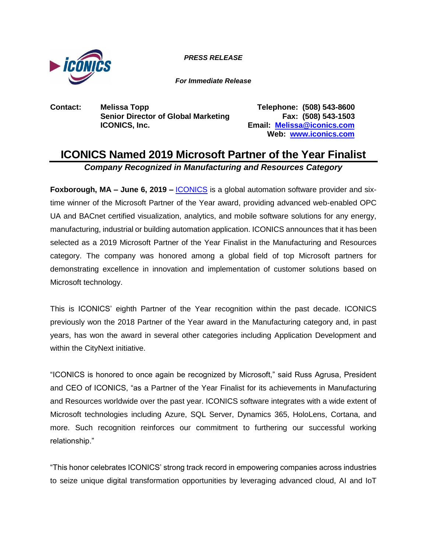

*PRESS RELEASE*

*For Immediate Release*

**Contact: Melissa Topp Telephone: (508) 543-8600 Senior Director of Global Marketing Fax: (508) 543-1503 ICONICS, Inc. Email: [Melissa@iconics.com](mailto:Melissa@iconics.com)**

**Web: [www.iconics.com](https://iconics.com/)**

## **ICONICS Named 2019 Microsoft Partner of the Year Finalist** *Company Recognized in Manufacturing and Resources Category*

**Foxborough, MA – June 6, 2019 – <b>[ICONICS](https://iconics.com/)** is a global automation software provider and sixtime winner of the Microsoft Partner of the Year award, providing advanced web-enabled OPC UA and BACnet certified visualization, analytics, and mobile software solutions for any energy, manufacturing, industrial or building automation application. ICONICS announces that it has been selected as a 2019 Microsoft Partner of the Year Finalist in the Manufacturing and Resources category. The company was honored among a global field of top Microsoft partners for demonstrating excellence in innovation and implementation of customer solutions based on Microsoft technology.

This is ICONICS' eighth Partner of the Year recognition within the past decade. ICONICS previously won the 2018 Partner of the Year award in the Manufacturing category and, in past years, has won the award in several other categories including Application Development and within the CityNext initiative.

"ICONICS is honored to once again be recognized by Microsoft," said Russ Agrusa, President and CEO of ICONICS, "as a Partner of the Year Finalist for its achievements in Manufacturing and Resources worldwide over the past year. ICONICS software integrates with a wide extent of Microsoft technologies including Azure, SQL Server, Dynamics 365, HoloLens, Cortana, and more. Such recognition reinforces our commitment to furthering our successful working relationship."

"This honor celebrates ICONICS' strong track record in empowering companies across industries to seize unique digital transformation opportunities by leveraging advanced cloud, AI and IoT